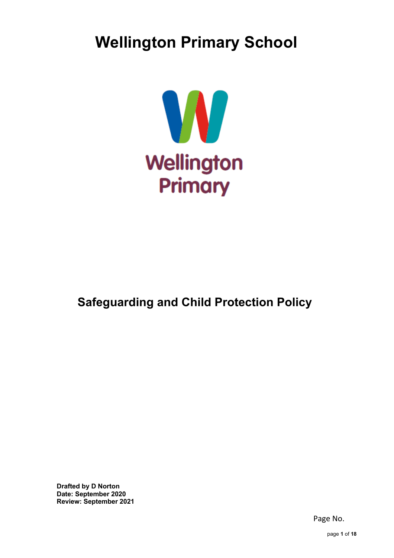# **Wellington Primary School**



## **Safeguarding and Child Protection Policy**

**Drafted by D Norton Date: September 2020 Review: September 2021**

Page No.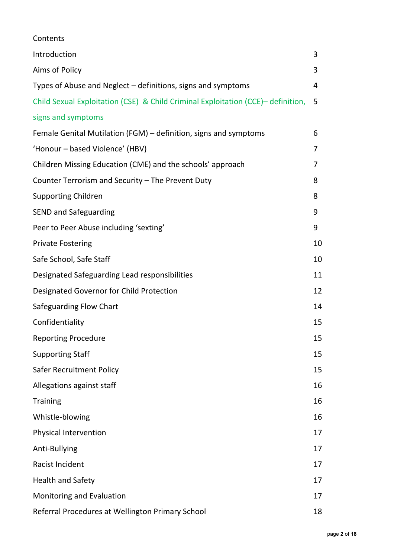| Contents                                                                         |    |
|----------------------------------------------------------------------------------|----|
| Introduction                                                                     | 3  |
| Aims of Policy                                                                   | 3  |
| Types of Abuse and Neglect – definitions, signs and symptoms                     | 4  |
| Child Sexual Exploitation (CSE) & Child Criminal Exploitation (CCE)- definition, | 5  |
| signs and symptoms                                                               |    |
| Female Genital Mutilation (FGM) – definition, signs and symptoms                 | 6  |
| 'Honour - based Violence' (HBV)                                                  | 7  |
| Children Missing Education (CME) and the schools' approach                       | 7  |
| Counter Terrorism and Security - The Prevent Duty                                | 8  |
| <b>Supporting Children</b>                                                       | 8  |
| <b>SEND and Safeguarding</b>                                                     | 9  |
| Peer to Peer Abuse including 'sexting'                                           | 9  |
| <b>Private Fostering</b>                                                         | 10 |
| Safe School, Safe Staff                                                          | 10 |
| Designated Safeguarding Lead responsibilities                                    | 11 |
| Designated Governor for Child Protection                                         | 12 |
| Safeguarding Flow Chart                                                          | 14 |
| Confidentiality                                                                  | 15 |
| <b>Reporting Procedure</b>                                                       | 15 |
| <b>Supporting Staff</b>                                                          | 15 |
| <b>Safer Recruitment Policy</b>                                                  | 15 |
| Allegations against staff                                                        | 16 |
| <b>Training</b>                                                                  | 16 |
| Whistle-blowing                                                                  | 16 |
| Physical Intervention                                                            | 17 |
| Anti-Bullying                                                                    | 17 |
| Racist Incident                                                                  | 17 |
| <b>Health and Safety</b>                                                         | 17 |
| Monitoring and Evaluation                                                        | 17 |
| Referral Procedures at Wellington Primary School                                 | 18 |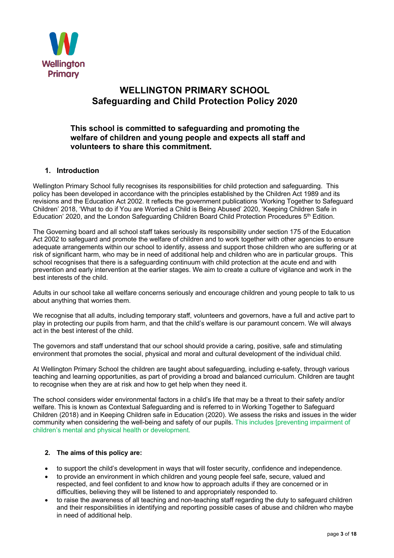

## **WELLINGTON PRIMARY SCHOOL Safeguarding and Child Protection Policy 2020**

## **This school is committed to safeguarding and promoting the welfare of children and young people and expects all staff and volunteers to share this commitment.**

## **1. Introduction**

Wellington Primary School fully recognises its responsibilities for child protection and safeguarding. This policy has been developed in accordance with the principles established by the Children Act 1989 and its revisions and the Education Act 2002. It reflects the government publications 'Working Together to Safeguard Children' 2018, 'What to do if You are Worried a Child is Being Abused' 2020, 'Keeping Children Safe in Education' 2020, and the London Safeguarding Children Board Child Protection Procedures 5<sup>th</sup> Edition.

The Governing board and all school staff takes seriously its responsibility under section 175 of the Education Act 2002 to safeguard and promote the welfare of children and to work together with other agencies to ensure adequate arrangements within our school to identify, assess and support those children who are suffering or at risk of significant harm, who may be in need of additional help and children who are in particular groups. This school recognises that there is a safeguarding continuum with child protection at the acute end and with prevention and early intervention at the earlier stages. We aim to create a culture of vigilance and work in the best interests of the child.

Adults in our school take all welfare concerns seriously and encourage children and young people to talk to us about anything that worries them.

We recognise that all adults, including temporary staff, volunteers and governors, have a full and active part to play in protecting our pupils from harm, and that the child's welfare is our paramount concern. We will always act in the best interest of the child.

The governors and staff understand that our school should provide a caring, positive, safe and stimulating environment that promotes the social, physical and moral and cultural development of the individual child.

At Wellington Primary School the children are taught about safeguarding, including e-safety, through various teaching and learning opportunities, as part of providing a broad and balanced curriculum. Children are taught to recognise when they are at risk and how to get help when they need it.

The school considers wider environmental factors in a child's life that may be a threat to their safety and/or welfare. This is known as Contextual Safeguarding and is referred to in Working Together to Safeguard Children (2018) and in Keeping Children safe in Education (2020). We assess the risks and issues in the wider community when considering the well-being and safety of our pupils. This includes [preventing impairment of children's mental and physical health or development.

## **2. The aims of this policy are:**

- to support the child's development in ways that will foster security, confidence and independence.
- to provide an environment in which children and young people feel safe, secure, valued and respected, and feel confident to and know how to approach adults if they are concerned or in difficulties, believing they will be listened to and appropriately responded to.
- to raise the awareness of all teaching and non-teaching staff regarding the duty to safeguard children and their responsibilities in identifying and reporting possible cases of abuse and children who maybe in need of additional help.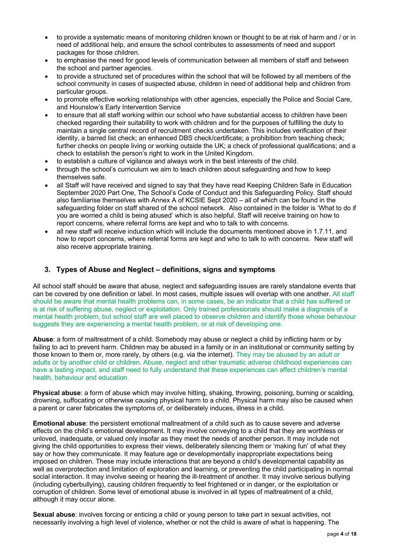- to provide a systematic means of monitoring children known or thought to be at risk of harm and / or in need of additional help, and ensure the school contributes to assessments of need and support packages for those children.
- to emphasise the need for good levels of communication between all members of staff and between the school and partner agencies.
- to provide a structured set of procedures within the school that will be followed by all members of the school community in cases of suspected abuse, children in need of additional help and children from particular groups.
- to promote effective working relationships with other agencies, especially the Police and Social Care, and Hounslow's Early Intervention Service
- to ensure that all staff working within our school who have substantial access to children have been checked regarding their suitability to work with children and for the purposes of fulfilling the duty to maintain a single central record of recruitment checks undertaken. This includes verification of their identity, a barred list check; an enhanced DBS check/certificate; a prohibition from teaching check; further checks on people living or working outside the UK; a check of professional qualifications; and a check to establish the person's right to work in the United Kingdom.
- to establish a culture of vigilance and always work in the best interests of the child.
- through the school's curriculum we aim to teach children about safeguarding and how to keep themselves safe.
- all Staff will have received and signed to say that they have read Keeping Children Safe in Education September 2020 Part One, The School's Code of Conduct and this Safeguarding Policy. Staff should also familiarise themselves with Annex A of KCSIE Sept 2020 – all of which can be found in the safeguarding folder on staff shared of the school network. Also contained in the folder is 'What to do if you are worried a child is being abused' which is also helpful. Staff will receive training on how to report concerns, where referral forms are kept and who to talk to with concerns.
- all new staff will receive induction which will include the documents mentioned above in 1.7.11, and how to report concerns, where referral forms are kept and who to talk to with concerns. New staff will also receive appropriate training.

## **3. Types of Abuse and Neglect – definitions, signs and symptoms**

All school staff should be aware that abuse, neglect and safeguarding issues are rarely standalone events that can be covered by one definition or label. In most cases, multiple issues will overlap with one another. All staff should be aware that mental health problems can, in some cases, be an indicator that a child has suffered or is at risk of suffering abuse, neglect or exploitation. Only trained professionals should make a diagnosis of a mental health problem, but school staff are well placed to observe children and identify those whose behaviour suggests they are experiencing a mental health problem, or at risk of developing one.

**Abuse**: a form of maltreatment of a child. Somebody may abuse or neglect a child by inflicting harm or by failing to act to prevent harm. Children may be abused in a family or in an institutional or community setting by those known to them or, more rarely, by others (e.g. via the internet). They may be abused by an adult or adults or by another child or children. Abuse, neglect and other traumatic adverse childhood experiences can have a lasting impact, and staff need to fully understand that these experiences can affect children's mental health, behaviour and education.

**Physical abuse**: a form of abuse which may involve hitting, shaking, throwing, poisoning, burning or scalding, drowning, suffocating or otherwise causing physical harm to a child. Physical harm may also be caused when a parent or carer fabricates the symptoms of, or deliberately induces, illness in a child.

**Emotional abuse**: the persistent emotional maltreatment of a child such as to cause severe and adverse effects on the child's emotional development. It may involve conveying to a child that they are worthless or unloved, inadequate, or valued only insofar as they meet the needs of another person. It may include not giving the child opportunities to express their views, deliberately silencing them or 'making fun' of what they say or how they communicate. It may feature age or developmentally inappropriate expectations being imposed on children. These may include interactions that are beyond a child's developmental capability as well as overprotection and limitation of exploration and learning, or preventing the child participating in normal social interaction. It may involve seeing or hearing the ill-treatment of another. It may involve serious bullying (including cyberbullying), causing children frequently to feel frightened or in danger, or the exploitation or corruption of children. Some level of emotional abuse is involved in all types of maltreatment of a child, although it may occur alone.

**Sexual abuse**: involves forcing or enticing a child or young person to take part in sexual activities, not necessarily involving a high level of violence, whether or not the child is aware of what is happening. The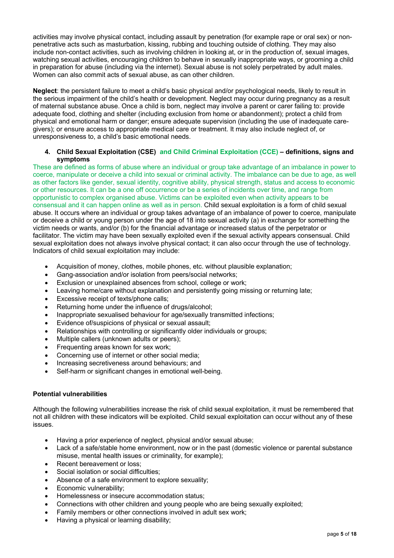activities may involve physical contact, including assault by penetration (for example rape or oral sex) or nonpenetrative acts such as masturbation, kissing, rubbing and touching outside of clothing. They may also include non-contact activities, such as involving children in looking at, or in the production of, sexual images, watching sexual activities, encouraging children to behave in sexually inappropriate ways, or grooming a child in preparation for abuse (including via the internet). Sexual abuse is not solely perpetrated by adult males. Women can also commit acts of sexual abuse, as can other children.

**Neglect**: the persistent failure to meet a child's basic physical and/or psychological needs, likely to result in the serious impairment of the child's health or development. Neglect may occur during pregnancy as a result of maternal substance abuse. Once a child is born, neglect may involve a parent or carer failing to: provide adequate food, clothing and shelter (including exclusion from home or abandonment); protect a child from physical and emotional harm or danger; ensure adequate supervision (including the use of inadequate caregivers); or ensure access to appropriate medical care or treatment. It may also include neglect of, or unresponsiveness to, a child's basic emotional needs.

#### **4. Child Sexual Exploitation (CSE) and Child Criminal Exploitation (CCE) – definitions, signs and symptoms**

These are defined as forms of abuse where an individual or group take advantage of an imbalance in power to coerce, manipulate or deceive a child into sexual or criminal activity. The imbalance can be due to age, as well as other factors like gender, sexual identity, cognitive ability, physical strength, status and access to economic or other resources. It can be a one off occurrence or be a series of incidents over time, and range from opportunistic to complex organised abuse. Victims can be exploited even when activity appears to be consensual and it can happen online as well as in person. Child sexual exploitation is a form of child sexual abuse. It occurs where an individual or group takes advantage of an imbalance of power to coerce, manipulate or deceive a child or young person under the age of 18 into sexual activity (a) in exchange for something the victim needs or wants, and/or (b) for the financial advantage or increased status of the perpetrator or facilitator. The victim may have been sexually exploited even if the sexual activity appears consensual. Child sexual exploitation does not always involve physical contact; it can also occur through the use of technology. Indicators of child sexual exploitation may include:

- Acquisition of money, clothes, mobile phones, etc. without plausible explanation;
- Gang-association and/or isolation from peers/social networks;
- Exclusion or unexplained absences from school, college or work;
- Leaving home/care without explanation and persistently going missing or returning late;
- Excessive receipt of texts/phone calls:
- Returning home under the influence of drugs/alcohol:
- Inappropriate sexualised behaviour for age/sexually transmitted infections;
- Evidence of/suspicions of physical or sexual assault;
- Relationships with controlling or significantly older individuals or groups:
- Multiple callers (unknown adults or peers);
- Frequenting areas known for sex work;
- Concerning use of internet or other social media:
- Increasing secretiveness around behaviours; and
- Self-harm or significant changes in emotional well-being.

#### **Potential vulnerabilities**

Although the following vulnerabilities increase the risk of child sexual exploitation, it must be remembered that not all children with these indicators will be exploited. Child sexual exploitation can occur without any of these issues.

- Having a prior experience of neglect, physical and/or sexual abuse;
- Lack of a safe/stable home environment, now or in the past (domestic violence or parental substance misuse, mental health issues or criminality, for example);
- Recent bereavement or loss:
- Social isolation or social difficulties;
- Absence of a safe environment to explore sexuality;
- Economic vulnerability;
- Homelessness or insecure accommodation status;
- Connections with other children and young people who are being sexually exploited;
- Family members or other connections involved in adult sex work;
- Having a physical or learning disability;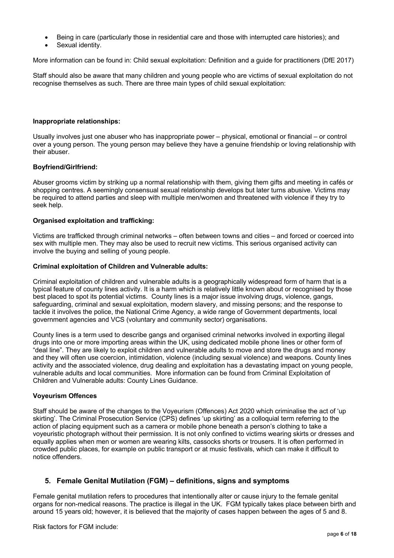- Being in care (particularly those in residential care and those with interrupted care histories); and
- Sexual identity.

More information can be found in: Child sexual exploitation: Definition and a guide for practitioners (DfE 2017)

Staff should also be aware that many children and young people who are victims of sexual exploitation do not recognise themselves as such. There are three main types of child sexual exploitation:

#### **Inappropriate relationships:**

Usually involves just one abuser who has inappropriate power – physical, emotional or financial – or control over a young person. The young person may believe they have a genuine friendship or loving relationship with their abuser.

#### **Boyfriend/Girlfriend:**

Abuser grooms victim by striking up a normal relationship with them, giving them gifts and meeting in cafés or shopping centres. A seemingly consensual sexual relationship develops but later turns abusive. Victims may be required to attend parties and sleep with multiple men/women and threatened with violence if they try to seek help.

#### **Organised exploitation and trafficking:**

Victims are trafficked through criminal networks – often between towns and cities – and forced or coerced into sex with multiple men. They may also be used to recruit new victims. This serious organised activity can involve the buying and selling of young people.

#### **Criminal exploitation of Children and Vulnerable adults:**

Criminal exploitation of children and vulnerable adults is a geographically widespread form of harm that is a typical feature of county lines activity. It is a harm which is relatively little known about or recognised by those best placed to spot its potential victims. County lines is a major issue involving drugs, violence, gangs, safeguarding, criminal and sexual exploitation, modern slavery, and missing persons; and the response to tackle it involves the police, the National Crime Agency, a wide range of Government departments, local government agencies and VCS (voluntary and community sector) organisations.

County lines is a term used to describe gangs and organised criminal networks involved in exporting illegal drugs into one or more importing areas within the UK, using dedicated mobile phone lines or other form of "deal line". They are likely to exploit children and vulnerable adults to move and store the drugs and money and they will often use coercion, intimidation, violence (including sexual violence) and weapons. County lines activity and the associated violence, drug dealing and exploitation has a devastating impact on young people, vulnerable adults and local communities. More information can be found from Criminal Exploitation of Children and Vulnerable adults: County Lines Guidance.

## **Voyeurism Offences**

Staff should be aware of the changes to the Voyeurism (Offences) Act 2020 which criminalise the act of 'up skirting'. The Criminal Prosecution Service (CPS) defines 'up skirting' as a colloquial term referring to the action of placing equipment such as a camera or mobile phone beneath a person's clothing to take a voyeuristic photograph without their permission. It is not only confined to victims wearing skirts or dresses and equally applies when men or women are wearing kilts, cassocks shorts or trousers. It is often performed in crowded public places, for example on public transport or at music festivals, which can make it difficult to notice offenders.

## **5. Female Genital Mutilation (FGM) – definitions, signs and symptoms**

Female genital mutilation refers to procedures that intentionally alter or cause injury to the female genital organs for non-medical reasons. The practice is illegal in the UK. FGM typically takes place between birth and around 15 years old; however, it is believed that the majority of cases happen between the ages of 5 and 8.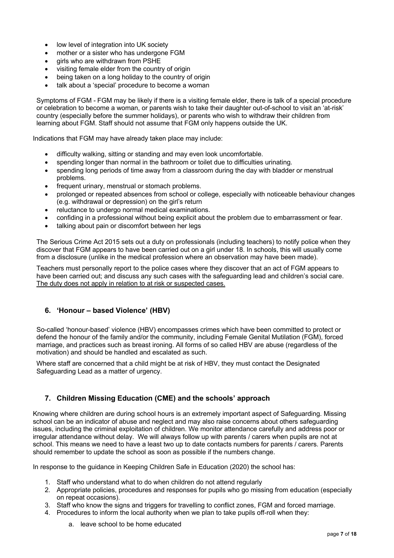- low level of integration into UK society
- mother or a sister who has undergone FGM
- girls who are withdrawn from PSHE
- visiting female elder from the country of origin
- being taken on a long holiday to the country of origin
- talk about a 'special' procedure to become a woman

Symptoms of FGM - FGM may be likely if there is a visiting female elder, there is talk of a special procedure or celebration to become a woman, or parents wish to take their daughter out-of-school to visit an 'at-risk' country (especially before the summer holidays), or parents who wish to withdraw their children from learning about FGM. Staff should not assume that FGM only happens outside the UK.

Indications that FGM may have already taken place may include:

- difficulty walking, sitting or standing and may even look uncomfortable.
- spending longer than normal in the bathroom or toilet due to difficulties urinating.
- spending long periods of time away from a classroom during the day with bladder or menstrual problems.
- frequent urinary, menstrual or stomach problems.
- prolonged or repeated absences from school or college, especially with noticeable behaviour changes (e.g. withdrawal or depression) on the girl's return
- reluctance to undergo normal medical examinations.
- confiding in a professional without being explicit about the problem due to embarrassment or fear.
- talking about pain or discomfort between her legs

The Serious Crime Act 2015 sets out a duty on professionals (including teachers) to notify police when they discover that FGM appears to have been carried out on a girl under 18. In schools, this will usually come from a disclosure (unlike in the medical profession where an observation may have been made).

Teachers must personally report to the police cases where they discover that an act of FGM appears to have been carried out; and discuss any such cases with the safeguarding lead and children's social care. The duty does not apply in relation to at risk or suspected cases.

## **6. 'Honour – based Violence' (HBV)**

So-called 'honour-based' violence (HBV) encompasses crimes which have been committed to protect or defend the honour of the family and/or the community, including Female Genital Mutilation (FGM), forced marriage, and practices such as breast ironing. All forms of so called HBV are abuse (regardless of the motivation) and should be handled and escalated as such.

Where staff are concerned that a child might be at risk of HBV, they must contact the Designated Safeguarding Lead as a matter of urgency.

## **7. Children Missing Education (CME) and the schools' approach**

Knowing where children are during school hours is an extremely important aspect of Safeguarding. Missing school can be an indicator of abuse and neglect and may also raise concerns about others safeguarding issues, including the criminal exploitation of children. We monitor attendance carefully and address poor or irregular attendance without delay. We will always follow up with parents / carers when pupils are not at school. This means we need to have a least two up to date contacts numbers for parents / carers. Parents should remember to update the school as soon as possible if the numbers change.

In response to the guidance in Keeping Children Safe in Education (2020) the school has:

- 1. Staff who understand what to do when children do not attend regularly
- 2. Appropriate policies, procedures and responses for pupils who go missing from education (especially on repeat occasions).
- 3. Staff who know the signs and triggers for travelling to conflict zones, FGM and forced marriage.
- 4. Procedures to inform the local authority when we plan to take pupils off-roll when they:
	- a. leave school to be home educated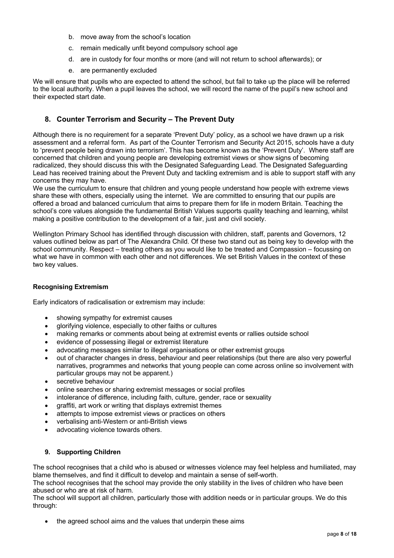- b. move away from the school's location
- c. remain medically unfit beyond compulsory school age
- d. are in custody for four months or more (and will not return to school afterwards); or
- e. are permanently excluded

We will ensure that pupils who are expected to attend the school, but fail to take up the place will be referred to the local authority. When a pupil leaves the school, we will record the name of the pupil's new school and their expected start date.

## **8. Counter Terrorism and Security – The Prevent Duty**

Although there is no requirement for a separate 'Prevent Duty' policy, as a school we have drawn up a risk assessment and a referral form. As part of the Counter Terrorism and Security Act 2015, schools have a duty to 'prevent people being drawn into terrorism'. This has become known as the 'Prevent Duty'. Where staff are concerned that children and young people are developing extremist views or show signs of becoming radicalized, they should discuss this with the Designated Safeguarding Lead. The Designated Safeguarding Lead has received training about the Prevent Duty and tackling extremism and is able to support staff with any concerns they may have.

We use the curriculum to ensure that children and young people understand how people with extreme views share these with others, especially using the internet. We are committed to ensuring that our pupils are offered a broad and balanced curriculum that aims to prepare them for life in modern Britain. Teaching the school's core values alongside the fundamental British Values supports quality teaching and learning, whilst making a positive contribution to the development of a fair, just and civil society.

Wellington Primary School has identified through discussion with children, staff, parents and Governors, 12 values outlined below as part of The Alexandra Child. Of these two stand out as being key to develop with the school community. Respect – treating others as you would like to be treated and Compassion – focussing on what we have in common with each other and not differences. We set British Values in the context of these two key values.

## **Recognising Extremism**

Early indicators of radicalisation or extremism may include:

- showing sympathy for extremist causes
- glorifying violence, especially to other faiths or cultures
- making remarks or comments about being at extremist events or rallies outside school
- evidence of possessing illegal or extremist literature
- advocating messages similar to illegal organisations or other extremist groups
- out of character changes in dress, behaviour and peer relationships (but there are also very powerful narratives, programmes and networks that young people can come across online so involvement with particular groups may not be apparent.)
- secretive behaviour
- online searches or sharing extremist messages or social profiles
- intolerance of difference, including faith, culture, gender, race or sexuality
- graffiti, art work or writing that displays extremist themes
- attempts to impose extremist views or practices on others
- verbalising anti-Western or anti-British views
- advocating violence towards others.

## **9. Supporting Children**

The school recognises that a child who is abused or witnesses violence may feel helpless and humiliated, may blame themselves, and find it difficult to develop and maintain a sense of self-worth.

The school recognises that the school may provide the only stability in the lives of children who have been abused or who are at risk of harm.

The school will support all children, particularly those with addition needs or in particular groups. We do this through:

the agreed school aims and the values that underpin these aims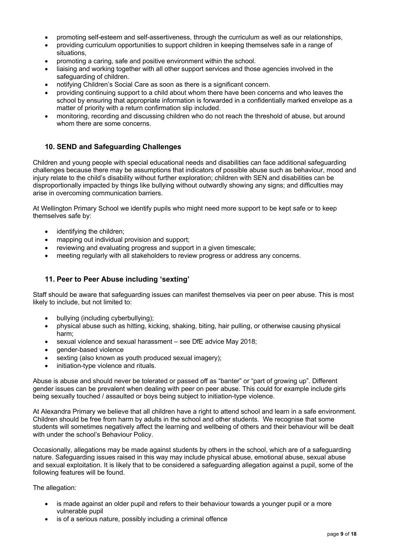- promoting self-esteem and self-assertiveness, through the curriculum as well as our relationships,
- providing curriculum opportunities to support children in keeping themselves safe in a range of situations,
- promoting a caring, safe and positive environment within the school.
- liaising and working together with all other support services and those agencies involved in the safeguarding of children.
- notifying Children's Social Care as soon as there is a significant concern.
- providing continuing support to a child about whom there have been concerns and who leaves the school by ensuring that appropriate information is forwarded in a confidentially marked envelope as a matter of priority with a return confirmation slip included.
- monitoring, recording and discussing children who do not reach the threshold of abuse, but around whom there are some concerns.

## **10. SEND and Safeguarding Challenges**

Children and young people with special educational needs and disabilities can face additional safeguarding challenges because there may be assumptions that indicators of possible abuse such as behaviour, mood and injury relate to the child's disability without further exploration; children with SEN and disabilities can be disproportionally impacted by things like bullying without outwardly showing any signs; and difficulties may arise in overcoming communication barriers.

At Wellington Primary School we identify pupils who might need more support to be kept safe or to keep themselves safe by:

- identifying the children;
- mapping out individual provision and support;
- reviewing and evaluating progress and support in a given timescale;
- meeting regularly with all stakeholders to review progress or address any concerns.

## **11. Peer to Peer Abuse including 'sexting'**

Staff should be aware that safeguarding issues can manifest themselves via peer on peer abuse. This is most likely to include, but not limited to:

- bullying (including cyberbullying);
- physical abuse such as hitting, kicking, shaking, biting, hair pulling, or otherwise causing physical harm;
- sexual violence and sexual harassment see DfE advice May 2018;
- gender-based violence
- sexting (also known as youth produced sexual imagery);
- initiation-type violence and rituals.

Abuse is abuse and should never be tolerated or passed off as "banter" or "part of growing up". Different gender issues can be prevalent when dealing with peer on peer abuse. This could for example include girls being sexually touched / assaulted or boys being subject to initiation-type violence.

At Alexandra Primary we believe that all children have a right to attend school and learn in a safe environment. Children should be free from harm by adults in the school and other students. We recognise that some students will sometimes negatively affect the learning and wellbeing of others and their behaviour will be dealt with under the school's Behaviour Policy.

Occasionally, allegations may be made against students by others in the school, which are of a safeguarding nature. Safeguarding issues raised in this way may include physical abuse, emotional abuse, sexual abuse and sexual exploitation. It is likely that to be considered a safeguarding allegation against a pupil, some of the following features will be found.

#### The allegation:

- is made against an older pupil and refers to their behaviour towards a younger pupil or a more vulnerable pupil
- is of a serious nature, possibly including a criminal offence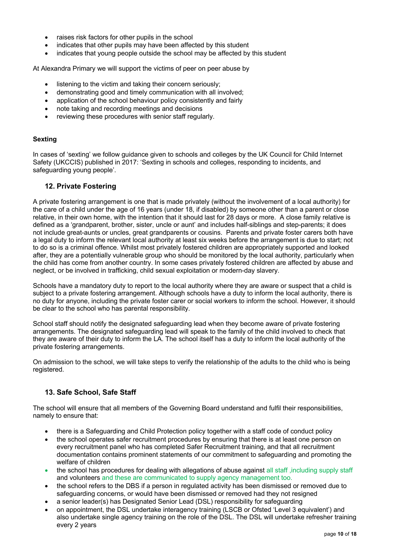- raises risk factors for other pupils in the school
- indicates that other pupils may have been affected by this student
- indicates that young people outside the school may be affected by this student

At Alexandra Primary we will support the victims of peer on peer abuse by

- listening to the victim and taking their concern seriously;
- demonstrating good and timely communication with all involved;
- application of the school behaviour policy consistently and fairly
- note taking and recording meetings and decisions
- reviewing these procedures with senior staff regularly.

#### **Sexting**

In cases of 'sexting' we follow guidance given to schools and colleges by the UK Council for Child Internet Safety (UKCCIS) published in 2017: 'Sexting in schools and colleges, responding to incidents, and safeguarding young people'.

## **12. Private Fostering**

A private fostering arrangement is one that is made privately (without the involvement of a local authority) for the care of a child under the age of 16 years (under 18, if disabled) by someone other than a parent or close relative, in their own home, with the intention that it should last for 28 days or more. A close family relative is defined as a 'grandparent, brother, sister, uncle or aunt' and includes half-siblings and step-parents; it does not include great-aunts or uncles, great grandparents or cousins. Parents and private foster carers both have a legal duty to inform the relevant local authority at least six weeks before the arrangement is due to start; not to do so is a criminal offence. Whilst most privately fostered children are appropriately supported and looked after, they are a potentially vulnerable group who should be monitored by the local authority, particularly when the child has come from another country. In some cases privately fostered children are affected by abuse and neglect, or be involved in trafficking, child sexual exploitation or modern-day slavery.

Schools have a mandatory duty to report to the local authority where they are aware or suspect that a child is subject to a private fostering arrangement. Although schools have a duty to inform the local authority, there is no duty for anyone, including the private foster carer or social workers to inform the school. However, it should be clear to the school who has parental responsibility.

School staff should notify the designated safeguarding lead when they become aware of private fostering arrangements. The designated safeguarding lead will speak to the family of the child involved to check that they are aware of their duty to inform the LA. The school itself has a duty to inform the local authority of the private fostering arrangements.

On admission to the school, we will take steps to verify the relationship of the adults to the child who is being registered.

## **13. Safe School, Safe Staff**

The school will ensure that all members of the Governing Board understand and fulfil their responsibilities, namely to ensure that:

- there is a Safeguarding and Child Protection policy together with a staff code of conduct policy
- the school operates safer recruitment procedures by ensuring that there is at least one person on every recruitment panel who has completed Safer Recruitment training, and that all recruitment documentation contains prominent statements of our commitment to safeguarding and promoting the welfare of children
- the school has procedures for dealing with allegations of abuse against all staff ,including supply staff and volunteers and these are communicated to supply agency management too.
- the school refers to the DBS if a person in regulated activity has been dismissed or removed due to safeguarding concerns, or would have been dismissed or removed had they not resigned
- a senior leader(s) has Designated Senior Lead (DSL) responsibility for safeguarding
- on appointment, the DSL undertake interagency training (LSCB or Ofsted 'Level 3 equivalent') and also undertake single agency training on the role of the DSL. The DSL will undertake refresher training every 2 years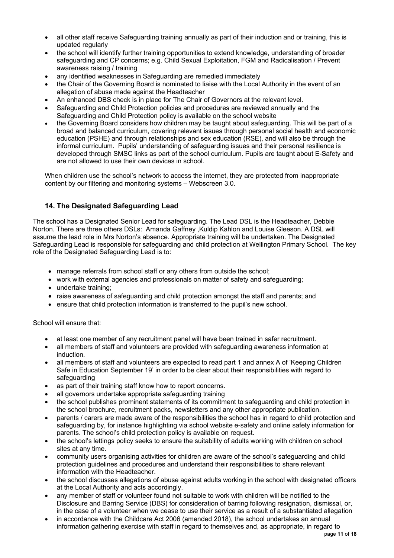- all other staff receive Safeguarding training annually as part of their induction and or training, this is updated regularly
- the school will identify further training opportunities to extend knowledge, understanding of broader safeguarding and CP concerns; e.g. Child Sexual Exploitation, FGM and Radicalisation / Prevent awareness raising / training
- any identified weaknesses in Safeguarding are remedied immediately
- the Chair of the Governing Board is nominated to liaise with the Local Authority in the event of an allegation of abuse made against the Headteacher
- An enhanced DBS check is in place for The Chair of Governors at the relevant level.
- Safeguarding and Child Protection policies and procedures are reviewed annually and the Safeguarding and Child Protection policy is available on the school website
- the Governing Board considers how children may be taught about safeguarding. This will be part of a broad and balanced curriculum, covering relevant issues through personal social health and economic education (PSHE) and through relationships and sex education (RSE), and will also be through the informal curriculum. Pupils' understanding of safeguarding issues and their personal resilience is developed through SMSC links as part of the school curriculum. Pupils are taught about E-Safety and are not allowed to use their own devices in school.

When children use the school's network to access the internet, they are protected from inappropriate content by our filtering and monitoring systems – Webscreen 3.0.

## **14. The Designated Safeguarding Lead**

The school has a Designated Senior Lead for safeguarding. The Lead DSL is the Headteacher, Debbie Norton. There are three others DSLs: Amanda Gaffney ,Kuldip Kahlon and Louise Gleeson. A DSL will assume the lead role in Mrs Norton's absence. Appropriate training will be undertaken. The Designated Safeguarding Lead is responsible for safeguarding and child protection at Wellington Primary School. The key role of the Designated Safeguarding Lead is to:

- manage referrals from school staff or any others from outside the school;
- work with external agencies and professionals on matter of safety and safeguarding;
- undertake training;
- raise awareness of safeguarding and child protection amongst the staff and parents; and
- ensure that child protection information is transferred to the pupil's new school.

School will ensure that:

- at least one member of any recruitment panel will have been trained in safer recruitment.
- all members of staff and volunteers are provided with safeguarding awareness information at induction.
- all members of staff and volunteers are expected to read part 1 and annex A of 'Keeping Children Safe in Education September 19' in order to be clear about their responsibilities with regard to safeguarding
- as part of their training staff know how to report concerns.
- all governors undertake appropriate safeguarding training
- the school publishes prominent statements of its commitment to safeguarding and child protection in the school brochure, recruitment packs, newsletters and any other appropriate publication.
- parents / carers are made aware of the responsibilities the school has in regard to child protection and safeguarding by, for instance highlighting via school website e-safety and online safety information for parents. The school's child protection policy is available on request.
- the school's lettings policy seeks to ensure the suitability of adults working with children on school sites at any time.
- community users organising activities for children are aware of the school's safeguarding and child protection guidelines and procedures and understand their responsibilities to share relevant information with the Headteacher.
- the school discusses allegations of abuse against adults working in the school with designated officers at the Local Authority and acts accordingly.
- any member of staff or volunteer found not suitable to work with children will be notified to the Disclosure and Barring Service (DBS) for consideration of barring following resignation, dismissal, or, in the case of a volunteer when we cease to use their service as a result of a substantiated allegation
- in accordance with the Childcare Act 2006 (amended 2018), the school undertakes an annual information gathering exercise with staff in regard to themselves and, as appropriate, in regard to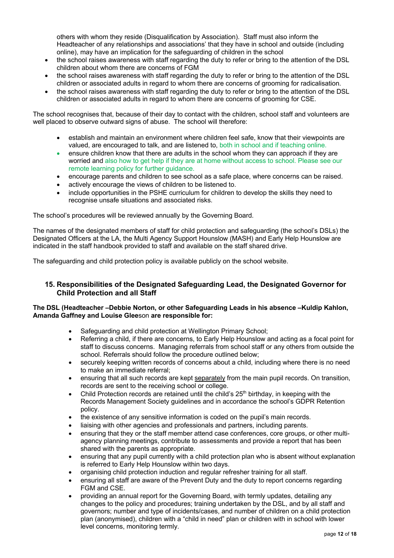others with whom they reside (Disqualification by Association). Staff must also inform the Headteacher of any relationships and associations' that they have in school and outside (including online), may have an implication for the safeguarding of children in the school

- the school raises awareness with staff regarding the duty to refer or bring to the attention of the DSL children about whom there are concerns of FGM
- the school raises awareness with staff regarding the duty to refer or bring to the attention of the DSL children or associated adults in regard to whom there are concerns of grooming for radicalisation.
- the school raises awareness with staff regarding the duty to refer or bring to the attention of the DSL children or associated adults in regard to whom there are concerns of grooming for CSE.

The school recognises that, because of their day to contact with the children, school staff and volunteers are well placed to observe outward signs of abuse. The school will therefore:

- establish and maintain an environment where children feel safe, know that their viewpoints are valued, are encouraged to talk, and are listened to, both in school and if teaching online.
- ensure children know that there are adults in the school whom they can approach if they are worried and also how to get help if they are at home without access to school. Please see our remote learning policy for further guidance.
- encourage parents and children to see school as a safe place, where concerns can be raised.
- actively encourage the views of children to be listened to.
- include opportunities in the PSHE curriculum for children to develop the skills they need to recognise unsafe situations and associated risks.

The school's procedures will be reviewed annually by the Governing Board.

The names of the designated members of staff for child protection and safeguarding (the school's DSLs) the Designated Officers at the LA, the Multi Agency Support Hounslow (MASH) and Early Help Hounslow are indicated in the staff handbook provided to staff and available on the staff shared drive.

The safeguarding and child protection policy is available publicly on the school website.

## **15. Responsibilities of the Designated Safeguarding Lead, the Designated Governor for Child Protection and all Staff**

## **The DSL (Headteacher –Debbie Norton, or other Safeguarding Leads in his absence –Kuldip Kahlon, Amanda Gaffney and Louise Glee**son **are responsible for:**

- Safeguarding and child protection at Wellington Primary School;
- Referring a child, if there are concerns, to Early Help Hounslow and acting as a focal point for staff to discuss concerns. Managing referrals from school staff or any others from outside the school. Referrals should follow the procedure outlined below;
- securely keeping written records of concerns about a child, including where there is no need to make an immediate referral;
- ensuring that all such records are kept separately from the main pupil records. On transition, records are sent to the receiving school or college.
- Child Protection records are retained until the child's  $25<sup>th</sup>$  birthday, in keeping with the Records Management Society guidelines and in accordance the school's GDPR Retention policy.
- the existence of any sensitive information is coded on the pupil's main records.
- liaising with other agencies and professionals and partners, including parents.
- ensuring that they or the staff member attend case conferences, core groups, or other multiagency planning meetings, contribute to assessments and provide a report that has been shared with the parents as appropriate.
- ensuring that any pupil currently with a child protection plan who is absent without explanation is referred to Early Help Hounslow within two days.
- organising child protection induction and regular refresher training for all staff.
- ensuring all staff are aware of the Prevent Duty and the duty to report concerns regarding FGM and CSE.
- providing an annual report for the Governing Board, with termly updates, detailing any changes to the policy and procedures; training undertaken by the DSL, and by all staff and governors; number and type of incidents/cases, and number of children on a child protection plan (anonymised), children with a "child in need" plan or children with in school with lower level concerns, monitoring termly.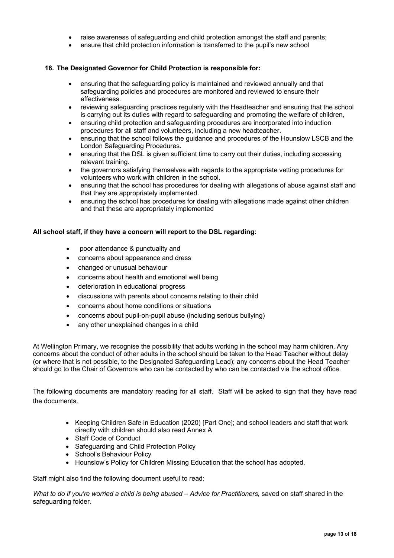- raise awareness of safeguarding and child protection amongst the staff and parents;
- ensure that child protection information is transferred to the pupil's new school

#### **16. The Designated Governor for Child Protection is responsible for:**

- ensuring that the safeguarding policy is maintained and reviewed annually and that safeguarding policies and procedures are monitored and reviewed to ensure their effectiveness.
- reviewing safeguarding practices regularly with the Headteacher and ensuring that the school is carrying out its duties with regard to safeguarding and promoting the welfare of children,
- ensuring child protection and safeguarding procedures are incorporated into induction procedures for all staff and volunteers, including a new headteacher.
- ensuring that the school follows the guidance and procedures of the Hounslow LSCB and the London Safeguarding Procedures.
- ensuring that the DSL is given sufficient time to carry out their duties, including accessing relevant training.
- the governors satisfying themselves with regards to the appropriate vetting procedures for volunteers who work with children in the school.
- ensuring that the school has procedures for dealing with allegations of abuse against staff and that they are appropriately implemented.
- ensuring the school has procedures for dealing with allegations made against other children and that these are appropriately implemented

#### **All school staff, if they have a concern will report to the DSL regarding:**

- poor attendance & punctuality and
- concerns about appearance and dress
- changed or unusual behaviour
- concerns about health and emotional well being
- deterioration in educational progress
- discussions with parents about concerns relating to their child
- concerns about home conditions or situations
- concerns about pupil-on-pupil abuse (including serious bullying)
- any other unexplained changes in a child

At Wellington Primary, we recognise the possibility that adults working in the school may harm children. Any concerns about the conduct of other adults in the school should be taken to the Head Teacher without delay (or where that is not possible, to the Designated Safeguarding Lead); any concerns about the Head Teacher should go to the Chair of Governors who can be contacted by who can be contacted via the school office.

The following documents are mandatory reading for all staff. Staff will be asked to sign that they have read the documents.

- Keeping Children Safe in Education (2020) [Part One]; and school leaders and staff that work directly with children should also read Annex A
- Staff Code of Conduct
- Safeguarding and Child Protection Policy
- School's Behaviour Policy
- Hounslow's Policy for Children Missing Education that the school has adopted.

Staff might also find the following document useful to read:

*What to do if you're worried a child is being abused – Advice for Practitioners,* saved on staff shared in the safeguarding folder.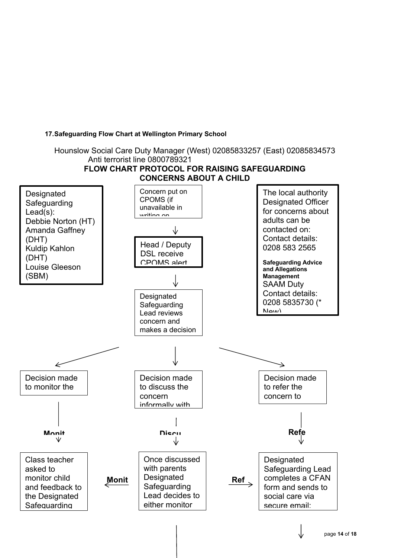## **17.Safeguarding Flow Chart at Wellington Primary School**

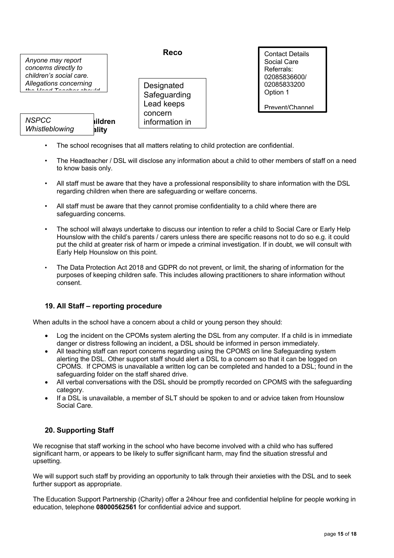

| <b>NSPCC</b>   | <b>hildren</b> |
|----------------|----------------|
| Whistleblowing | ality          |

**Reco**

**Designated** Safeguarding Lead keeps concern information in secure,

Contact Details Social Care Referrals: 02085836600/ 02085833200 Option 1

Prevent/Channel Referrals: Joan

- The school recognises that all matters relating to child protection are confidential. **•** The school recognises that all matters relating *Helpline* 
	- The Headteacher / DSL will disclose any information about a child to other members of staff on a need to know basis only.
	- All staff must be aware that they have a professional responsibility to share information with the DSL regarding children when there are safeguarding or welfare concerns.
	- All staff must be aware that they cannot promise confidentiality to a child where there are safeguarding concerns.
	- The school will always undertake to discuss our intention to refer a child to Social Care or Early Help Hounslow with the child's parents / carers unless there are specific reasons not to do so e.g. it could put the child at greater risk of harm or impede a criminal investigation. If in doubt, we will consult with Early Help Hounslow on this point.
	- The Data Protection Act 2018 and GDPR do not prevent, or limit, the sharing of information for the purposes of keeping children safe. This includes allowing practitioners to share information without consent.

## **19. All Staff – reporting procedure**

When adults in the school have a concern about a child or young person they should:

- Log the incident on the CPOMs system alerting the DSL from any computer. If a child is in immediate danger or distress following an incident, a DSL should be informed in person immediately.
- All teaching staff can report concerns regarding using the CPOMS on line Safeguarding system alerting the DSL. Other support staff should alert a DSL to a concern so that it can be logged on CPOMS. If CPOMS is unavailable a written log can be completed and handed to a DSL; found in the safeguarding folder on the staff shared drive.
- All verbal conversations with the DSL should be promptly recorded on CPOMS with the safeguarding category.
- If a DSL is unavailable, a member of SLT should be spoken to and or advice taken from Hounslow Social Care.

## **20. Supporting Staff**

We recognise that staff working in the school who have become involved with a child who has suffered significant harm, or appears to be likely to suffer significant harm, may find the situation stressful and upsetting.

We will support such staff by providing an opportunity to talk through their anxieties with the DSL and to seek further support as appropriate.

The Education Support Partnership (Charity) offer a 24hour free and confidential helpline for people working in education, telephone **08000562561** for confidential advice and support.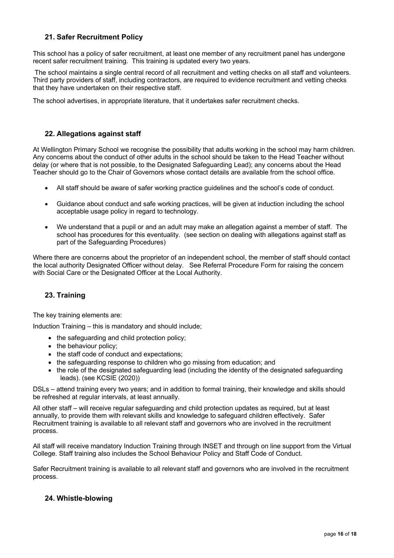## **21. Safer Recruitment Policy**

This school has a policy of safer recruitment, at least one member of any recruitment panel has undergone recent safer recruitment training. This training is updated every two years.

The school maintains a single central record of all recruitment and vetting checks on all staff and volunteers. Third party providers of staff, including contractors, are required to evidence recruitment and vetting checks that they have undertaken on their respective staff.

The school advertises, in appropriate literature, that it undertakes safer recruitment checks.

## **22. Allegations against staff**

At Wellington Primary School we recognise the possibility that adults working in the school may harm children. Any concerns about the conduct of other adults in the school should be taken to the Head Teacher without delay (or where that is not possible, to the Designated Safeguarding Lead); any concerns about the Head Teacher should go to the Chair of Governors whose contact details are available from the school office.

- All staff should be aware of safer working practice guidelines and the school's code of conduct.
- Guidance about conduct and safe working practices, will be given at induction including the school acceptable usage policy in regard to technology.
- We understand that a pupil or and an adult may make an allegation against a member of staff. The school has procedures for this eventuality. (see section on dealing with allegations against staff as part of the Safeguarding Procedures)

Where there are concerns about the proprietor of an independent school, the member of staff should contact the local authority Designated Officer without delay. See Referral Procedure Form for raising the concern with Social Care or the Designated Officer at the Local Authority.

## **23. Training**

The key training elements are:

Induction Training – this is mandatory and should include;

- the safequarding and child protection policy;
- the behaviour policy:
- the staff code of conduct and expectations;
- the safeguarding response to children who go missing from education; and
- the role of the designated safeguarding lead (including the identity of the designated safeguarding leads). (see KCSIE (2020))

DSLs – attend training every two years; and in addition to formal training, their knowledge and skills should be refreshed at regular intervals, at least annually.

All other staff – will receive regular safeguarding and child protection updates as required, but at least annually, to provide them with relevant skills and knowledge to safeguard children effectively. Safer Recruitment training is available to all relevant staff and governors who are involved in the recruitment process.

All staff will receive mandatory Induction Training through INSET and through on line support from the Virtual College. Staff training also includes the School Behaviour Policy and Staff Code of Conduct.

Safer Recruitment training is available to all relevant staff and governors who are involved in the recruitment process.

## **24. Whistle-blowing**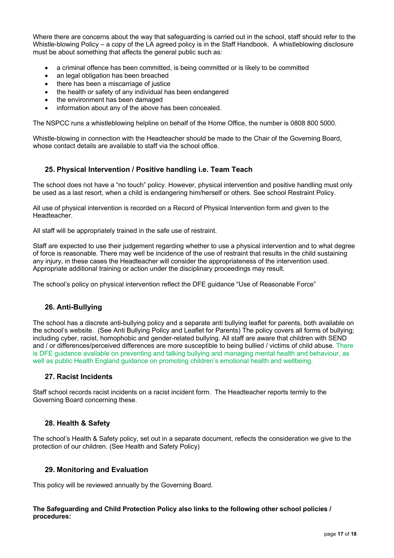Where there are concerns about the way that safeguarding is carried out in the school, staff should refer to the Whistle-blowing Policy – a copy of the LA agreed policy is in the Staff Handbook. A whistleblowing disclosure must be about something that affects the general public such as:

- a criminal offence has been committed, is being committed or is likely to be committed
- an legal obligation has been breached
- there has been a miscarriage of justice
- the health or safety of any individual has been endangered
- the environment has been damaged
- information about any of the above has been concealed.

The NSPCC runs a whistleblowing helpline on behalf of the Home Office, the number is 0808 800 5000.

Whistle-blowing in connection with the Headteacher should be made to the Chair of the Governing Board, whose contact details are available to staff via the school office.

## **25. Physical Intervention / Positive handling i.e. Team Teach**

The school does not have a "no touch" policy. However, physical intervention and positive handling must only be used as a last resort, when a child is endangering him/herself or others. See school Restraint Policy.

All use of physical intervention is recorded on a Record of Physical Intervention form and given to the Headteacher.

All staff will be appropriately trained in the safe use of restraint.

Staff are expected to use their judgement regarding whether to use a physical intervention and to what degree of force is reasonable. There may well be incidence of the use of restraint that results in the child sustaining any injury, in these cases the Headteacher will consider the appropriateness of the intervention used. Appropriate additional training or action under the disciplinary proceedings may result.

The school's policy on physical intervention reflect the DFE guidance "Use of Reasonable Force"

## **26. Anti-Bullying**

The school has a discrete anti-bullying policy and a separate anti bullying leaflet for parents, both available on the school's website. (See Anti Bullying Policy and Leaflet for Parents) The policy covers all forms of bullying; including cyber, racist, homophobic and gender-related bullying. All staff are aware that children with SEND and / or differences/perceived differences are more susceptible to being bullied / victims of child abuse. There is DFE guidance available on preventing and talking bullying and managing mental health and behaviour, as well as public Health England guidance on promoting children's emotional health and wellbeing.

## **27. Racist Incidents**

Staff school records racist incidents on a racist incident form. The Headteacher reports termly to the Governing Board concerning these.

## **28. Health & Safety**

The school's Health & Safety policy, set out in a separate document, reflects the consideration we give to the protection of our children. (See Health and Safety Policy)

## **29. Monitoring and Evaluation**

This policy will be reviewed annually by the Governing Board.

#### **The Safeguarding and Child Protection Policy also links to the following other school policies / procedures:**